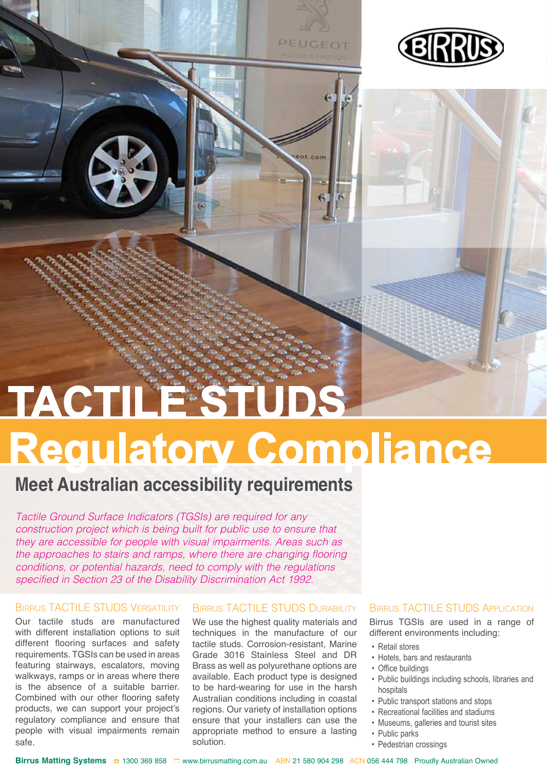

# **Regulatory Compliance TACTILE STUDS**

PEUGEOT

### **Meet Australian accessibility requirements**

*Tactile Ground Surface Indicators (TGSIs) are required for any construction project which is being built for public use to ensure that they are accessible for people with visual impairments. Areas such as the approaches to stairs and ramps, where there are changing flooring conditions, or potential hazards, need to comply with the regulations specified in Section 23 of the Disability Discrimination Act 1992.* 

#### BIRRUS TACTILE STUDS VERSATILITY

Our tactile studs are manufactured with different installation options to suit different flooring surfaces and safety requirements. TGSIs can be used in areas featuring stairways, escalators, moving walkways, ramps or in areas where there is the absence of a suitable barrier. Combined with our other flooring safety products, we can support your project's regulatory compliance and ensure that people with visual impairments remain safe.

#### Birrus TACTILE STUDS Durability

We use the highest quality materials and techniques in the manufacture of our tactile studs. Corrosion-resistant, Marine Grade 3016 Stainless Steel and DR Brass as well as polyurethane options are available. Each product type is designed to be hard-wearing for use in the harsh Australian conditions including in coastal regions. Our variety of installation options ensure that your installers can use the appropriate method to ensure a lasting solution.

#### **BIRRUS TACTILE STUDS APPLICATION**

Birrus TGSIs are used in a range of different environments including:

- Retail stores
- Hotels, bars and restaurants
- Office buildings
- Public buildings including schools, libraries and hospitals
- Public transport stations and stops
- Recreational facilities and stadiums
- Museums, galleries and tourist sites
- Public parks
- Pedestrian crossings

Birrus Matting Systems **<del><b>a**</del> 1300 369 858 □ www.birrusmatting.com.au ABN 21 580 904 298 ACN 056 444 798 Proudly Australian Owned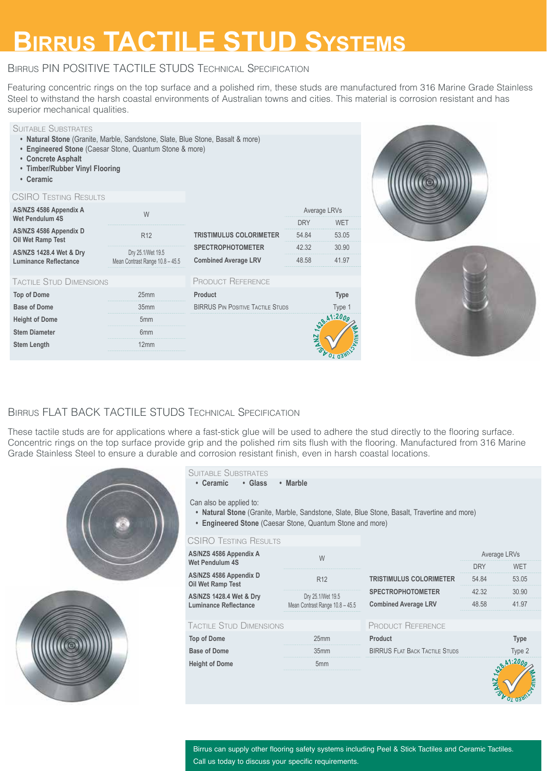### **Birrus TACTILE STUD Systems**

#### Birrus PIN POSITIVE TACTILE STUDS Technical Specification

Featuring concentric rings on the top surface and a polished rim, these studs are manufactured from 316 Marine Grade Stainless Steel to withstand the harsh coastal environments of Australian towns and cities. This material is corrosion resistant and has superior mechanical qualities.



#### Birrus FLAT BACK TACTILE STUDS Technical Specification

These tactile studs are for applications where a fast-stick glue will be used to adhere the stud directly to the flooring surface. Concentric rings on the top surface provide grip and the polished rim sits flush with the flooring. Manufactured from 316 Marine Grade Stainless Steel to ensure a durable and corrosion resistant finish, even in harsh coastal locations.



#### Birrus can supply other flooring safety systems including Peel & Stick Tactiles and Ceramic Tactiles. Call us today to discuss your specific requirements.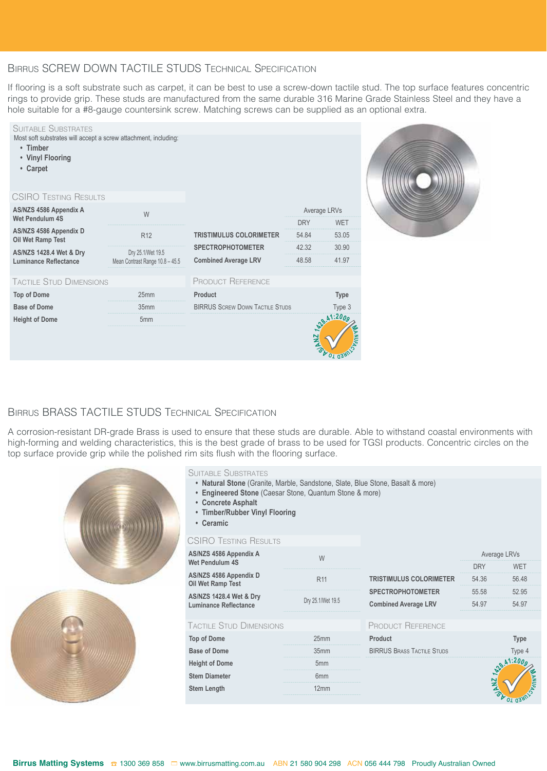#### Birrus SCREW DOWN TACTILE STUDS Technical Specification

If flooring is a soft substrate such as carpet, it can be best to use a screw-down tactile stud. The top surface features concentric rings to provide grip. These studs are manufactured from the same durable 316 Marine Grade Stainless Steel and they have a hole suitable for a #8-gauge countersink screw. Matching screws can be supplied as an optional extra.



#### Birrus BRASS TACTILE STUDS Technical Specification

A corrosion-resistant DR-grade Brass is used to ensure that these studs are durable. Able to withstand coastal environments with high-forming and welding characteristics, this is the best grade of brass to be used for TGSI products. Concentric circles on the top surface provide grip while the polished rim sits flush with the flooring surface.